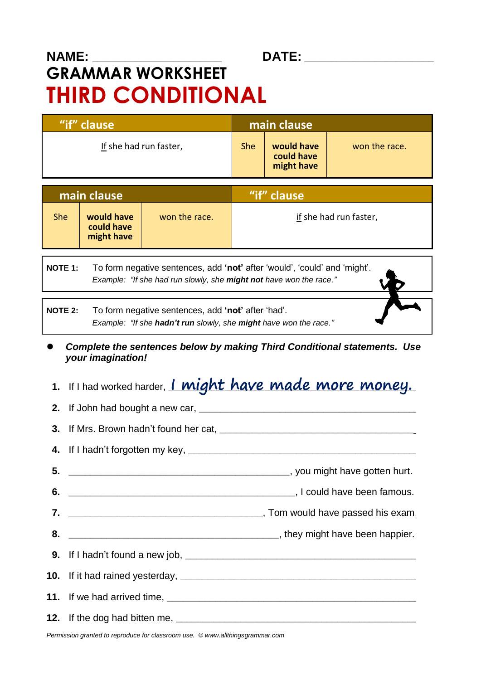## **NAME: \_\_\_\_\_\_\_\_\_\_\_\_\_\_\_\_\_\_\_\_\_\_\_\_ DATE: \_\_\_\_\_\_\_\_\_\_\_\_\_\_\_\_\_\_\_\_\_\_\_\_ GRAMMAR WORKSHEET THIRD CONDITIONAL**

**"if" clause main clause** If she had run faster, She **would have could have might have** won the race.

| main clause |                                        |               | "if" clause            |
|-------------|----------------------------------------|---------------|------------------------|
| <b>She</b>  | would have<br>could have<br>might have | won the race. | if she had run faster, |

**NOTE 1:** To form negative sentences, add **'not'** after 'would', 'could' and 'might'.  *Example: "If she had run slowly, she might not have won the race."*

**NOTE 2:** To form negative sentences, add **'not'** after 'had'.  *Example: "If she hadn't run slowly, she might have won the race."*

 *Complete the sentences below by making Third Conditional statements. Use your imagination!*

**1.** If I had worked harder, *l* **might have made more money.** 

**2.** If John had bought a new car, **\_\_\_\_\_\_\_\_\_\_\_\_\_\_\_\_\_\_\_\_\_\_\_\_\_\_\_\_\_\_\_\_\_\_\_\_\_\_\_\_\_ 3.** If Mrs. Brown hadn't found her cat, **4.** If I hadn't forgotten my key, **\_\_\_\_\_\_\_\_\_\_\_\_\_\_\_\_\_\_\_\_\_\_\_\_\_\_\_\_\_\_\_\_\_\_\_\_\_\_\_\_\_\_\_**\_ **5. \_\_\_\_\_\_\_\_\_\_\_\_\_\_\_\_\_\_\_\_\_\_\_\_\_\_\_\_\_\_\_\_\_\_\_\_\_\_\_\_\_**, you might have gotten hurt. **6. \_\_\_\_\_\_\_\_\_\_\_\_\_\_\_\_\_\_\_\_\_\_\_\_\_\_\_\_\_\_\_\_\_\_\_\_\_\_\_\_\_\_**, I could have been famous. **7. \_\_\_\_\_\_\_\_\_\_\_\_\_\_\_\_\_\_\_\_\_\_\_\_\_\_\_\_\_\_\_\_\_\_\_\_**, Tom would have passed his exam. **8. \_\_\_\_\_\_\_\_\_\_\_\_\_\_\_\_\_\_\_\_\_\_\_\_\_\_\_\_\_\_\_\_\_\_\_\_\_\_\_**, they might have been happier. **9.** If I hadn't found a new job, **\_\_\_\_\_\_\_\_\_\_\_\_\_\_\_\_\_\_\_\_\_\_\_\_\_\_\_\_\_\_\_\_\_\_\_\_\_\_\_\_\_\_\_**\_ **10.** If it had rained yesterday, **\_\_\_\_\_\_\_\_\_\_\_\_\_\_\_\_\_\_\_\_\_\_\_\_\_\_\_\_\_\_\_\_\_\_\_\_\_\_\_\_\_\_\_\_\_\_ 11.** If we had arrived time. **12.** If the dog had bitten me, **\_\_\_\_\_\_\_\_\_\_\_\_\_\_\_\_\_\_\_\_\_\_\_\_\_\_\_\_\_\_\_\_\_\_\_\_\_\_\_\_\_\_\_\_\_**\_

*Permission granted to reproduce for classroom use. © www.allthingsgrammar.com*